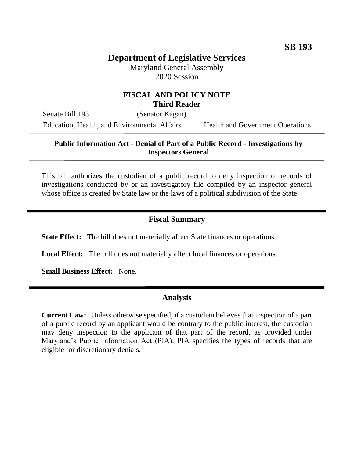# **Department of Legislative Services**

Maryland General Assembly 2020 Session

# **FISCAL AND POLICY NOTE Third Reader**

Senate Bill 193 (Senator Kagan) Education, Health, and Environmental Affairs Health and Government Operations

### **Public Information Act - Denial of Part of a Public Record - Investigations by Inspectors General**

This bill authorizes the custodian of a public record to deny inspection of records of investigations conducted by or an investigatory file compiled by an inspector general whose office is created by State law or the laws of a political subdivision of the State.

#### **Fiscal Summary**

**State Effect:** The bill does not materially affect State finances or operations.

**Local Effect:** The bill does not materially affect local finances or operations.

**Small Business Effect:** None.

#### **Analysis**

**Current Law:** Unless otherwise specified, if a custodian believes that inspection of a part of a public record by an applicant would be contrary to the public interest, the custodian may deny inspection to the applicant of that part of the record, as provided under Maryland's Public Information Act (PIA). PIA specifies the types of records that are eligible for discretionary denials.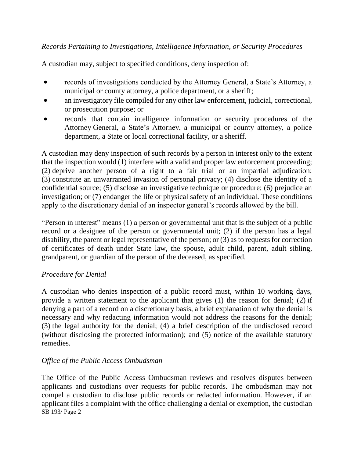# *Records Pertaining to Investigations, Intelligence Information, or Security Procedures*

A custodian may, subject to specified conditions, deny inspection of:

- records of investigations conducted by the Attorney General, a State's Attorney, a municipal or county attorney, a police department, or a sheriff;
- an investigatory file compiled for any other law enforcement, judicial, correctional, or prosecution purpose; or
- records that contain intelligence information or security procedures of the Attorney General, a State's Attorney, a municipal or county attorney, a police department, a State or local correctional facility, or a sheriff.

A custodian may deny inspection of such records by a person in interest only to the extent that the inspection would (1) interfere with a valid and proper law enforcement proceeding; (2) deprive another person of a right to a fair trial or an impartial adjudication; (3) constitute an unwarranted invasion of personal privacy; (4) disclose the identity of a confidential source; (5) disclose an investigative technique or procedure; (6) prejudice an investigation; or (7) endanger the life or physical safety of an individual. These conditions apply to the discretionary denial of an inspector general's records allowed by the bill.

"Person in interest" means (1) a person or governmental unit that is the subject of a public record or a designee of the person or governmental unit; (2) if the person has a legal disability, the parent or legal representative of the person; or (3) as to requests for correction of certificates of death under State law, the spouse, adult child, parent, adult sibling, grandparent, or guardian of the person of the deceased, as specified.

# *Procedure for Denial*

A custodian who denies inspection of a public record must, within 10 working days, provide a written statement to the applicant that gives (1) the reason for denial; (2) if denying a part of a record on a discretionary basis, a brief explanation of why the denial is necessary and why redacting information would not address the reasons for the denial; (3) the legal authority for the denial; (4) a brief description of the undisclosed record (without disclosing the protected information); and (5) notice of the available statutory remedies.

# *Office of the Public Access Ombudsman*

SB 193/ Page 2 The Office of the Public Access Ombudsman reviews and resolves disputes between applicants and custodians over requests for public records. The ombudsman may not compel a custodian to disclose public records or redacted information. However, if an applicant files a complaint with the office challenging a denial or exemption, the custodian